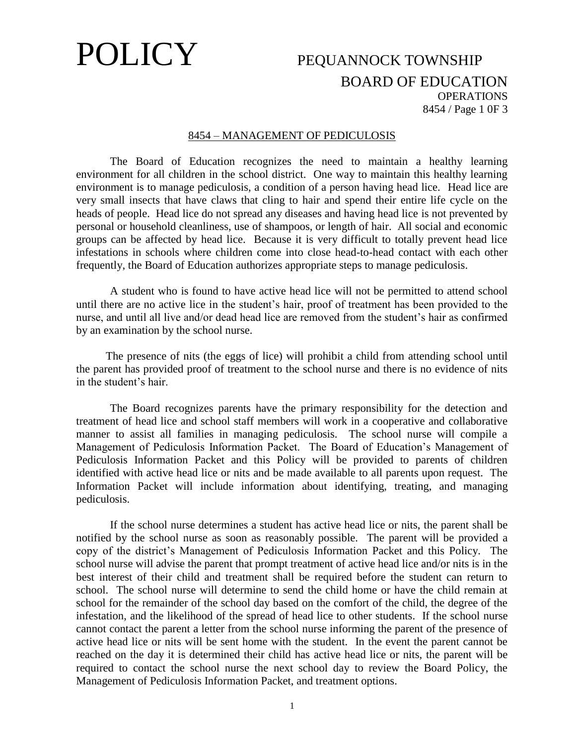## POLICY PEQUANNOCK TOWNSHIP

### BOARD OF EDUCATION **OPERATIONS** 8454 / Page 1 0F 3

### 8454 – MANAGEMENT OF PEDICULOSIS

The Board of Education recognizes the need to maintain a healthy learning environment for all children in the school district. One way to maintain this healthy learning environment is to manage pediculosis, a condition of a person having head lice. Head lice are very small insects that have claws that cling to hair and spend their entire life cycle on the heads of people. Head lice do not spread any diseases and having head lice is not prevented by personal or household cleanliness, use of shampoos, or length of hair. All social and economic groups can be affected by head lice. Because it is very difficult to totally prevent head lice infestations in schools where children come into close head-to-head contact with each other frequently, the Board of Education authorizes appropriate steps to manage pediculosis.

A student who is found to have active head lice will not be permitted to attend school until there are no active lice in the student's hair, proof of treatment has been provided to the nurse, and until all live and/or dead head lice are removed from the student's hair as confirmed by an examination by the school nurse.

The presence of nits (the eggs of lice) will prohibit a child from attending school until the parent has provided proof of treatment to the school nurse and there is no evidence of nits in the student's hair.

The Board recognizes parents have the primary responsibility for the detection and treatment of head lice and school staff members will work in a cooperative and collaborative manner to assist all families in managing pediculosis. The school nurse will compile a Management of Pediculosis Information Packet. The Board of Education's Management of Pediculosis Information Packet and this Policy will be provided to parents of children identified with active head lice or nits and be made available to all parents upon request. The Information Packet will include information about identifying, treating, and managing pediculosis.

If the school nurse determines a student has active head lice or nits, the parent shall be notified by the school nurse as soon as reasonably possible. The parent will be provided a copy of the district's Management of Pediculosis Information Packet and this Policy. The school nurse will advise the parent that prompt treatment of active head lice and/or nits is in the best interest of their child and treatment shall be required before the student can return to school. The school nurse will determine to send the child home or have the child remain at school for the remainder of the school day based on the comfort of the child, the degree of the infestation, and the likelihood of the spread of head lice to other students. If the school nurse cannot contact the parent a letter from the school nurse informing the parent of the presence of active head lice or nits will be sent home with the student. In the event the parent cannot be reached on the day it is determined their child has active head lice or nits, the parent will be required to contact the school nurse the next school day to review the Board Policy, the Management of Pediculosis Information Packet, and treatment options.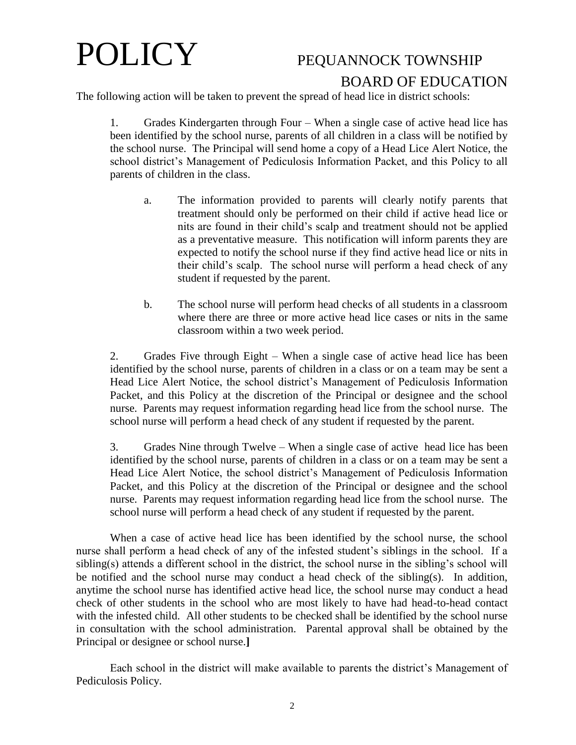# POLICY PEQUANNOCK TOWNSHIP

### BOARD OF EDUCATION

The following action will be taken to prevent the spread of head lice in district schools:

1. Grades Kindergarten through Four – When a single case of active head lice has been identified by the school nurse, parents of all children in a class will be notified by the school nurse. The Principal will send home a copy of a Head Lice Alert Notice, the school district's Management of Pediculosis Information Packet, and this Policy to all parents of children in the class.

- a. The information provided to parents will clearly notify parents that treatment should only be performed on their child if active head lice or nits are found in their child's scalp and treatment should not be applied as a preventative measure. This notification will inform parents they are expected to notify the school nurse if they find active head lice or nits in their child's scalp. The school nurse will perform a head check of any student if requested by the parent.
- b. The school nurse will perform head checks of all students in a classroom where there are three or more active head lice cases or nits in the same classroom within a two week period.

2. Grades Five through Eight – When a single case of active head lice has been identified by the school nurse, parents of children in a class or on a team may be sent a Head Lice Alert Notice, the school district's Management of Pediculosis Information Packet, and this Policy at the discretion of the Principal or designee and the school nurse. Parents may request information regarding head lice from the school nurse. The school nurse will perform a head check of any student if requested by the parent.

3. Grades Nine through Twelve – When a single case of active head lice has been identified by the school nurse, parents of children in a class or on a team may be sent a Head Lice Alert Notice, the school district's Management of Pediculosis Information Packet, and this Policy at the discretion of the Principal or designee and the school nurse. Parents may request information regarding head lice from the school nurse. The school nurse will perform a head check of any student if requested by the parent.

When a case of active head lice has been identified by the school nurse, the school nurse shall perform a head check of any of the infested student's siblings in the school. If a sibling(s) attends a different school in the district, the school nurse in the sibling's school will be notified and the school nurse may conduct a head check of the sibling(s). In addition, anytime the school nurse has identified active head lice, the school nurse may conduct a head check of other students in the school who are most likely to have had head-to-head contact with the infested child. All other students to be checked shall be identified by the school nurse in consultation with the school administration. Parental approval shall be obtained by the Principal or designee or school nurse.**]**

Each school in the district will make available to parents the district's Management of Pediculosis Policy.